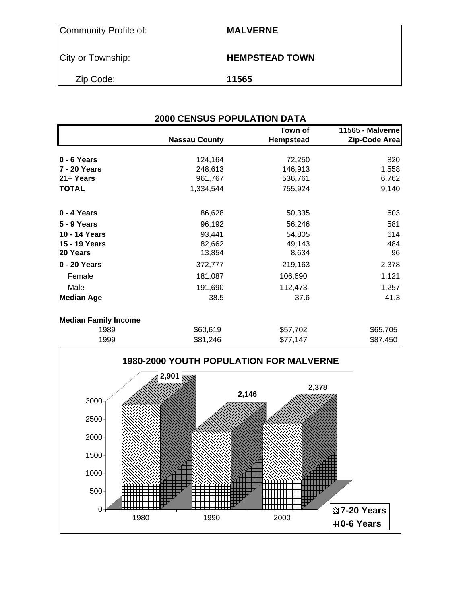Community Profile of: **MALVERNE**

City or Township: **HEMPSTEAD TOWN** 

Zip Code: **11565**

| <b>2000 CENSUS POPULATION DATA</b> |                      |                             |                                   |  |  |  |  |  |
|------------------------------------|----------------------|-----------------------------|-----------------------------------|--|--|--|--|--|
|                                    | <b>Nassau County</b> | Town of<br><b>Hempstead</b> | 11565 - Malverne<br>Zip-Code Area |  |  |  |  |  |
| 0 - 6 Years                        | 124,164              | 72,250                      | 820                               |  |  |  |  |  |
| 7 - 20 Years                       | 248,613              | 146,913                     | 1,558                             |  |  |  |  |  |
| 21+ Years                          | 961,767              | 536,761                     | 6,762                             |  |  |  |  |  |
| <b>TOTAL</b>                       | 1,334,544            | 755,924                     | 9,140                             |  |  |  |  |  |
| 0 - 4 Years                        | 86,628               | 50,335                      | 603                               |  |  |  |  |  |
| 5 - 9 Years                        | 96,192               | 56,246                      | 581                               |  |  |  |  |  |
| 10 - 14 Years                      | 93,441               | 54,805                      | 614                               |  |  |  |  |  |
| 15 - 19 Years                      | 82,662               | 49,143                      | 484                               |  |  |  |  |  |
| 20 Years                           | 13,854               | 8,634                       | 96                                |  |  |  |  |  |
| 0 - 20 Years                       | 372,777              | 219,163                     | 2,378                             |  |  |  |  |  |
| Female                             | 181,087              | 106,690                     | 1,121                             |  |  |  |  |  |
| Male                               | 191,690              | 112,473                     | 1,257                             |  |  |  |  |  |
| <b>Median Age</b>                  | 38.5                 | 37.6                        | 41.3                              |  |  |  |  |  |
| <b>Median Family Income</b>        |                      |                             |                                   |  |  |  |  |  |
| 1989                               | \$60,619             | \$57,702                    | \$65,705                          |  |  |  |  |  |
| 1999                               | \$81,246             | \$77,147                    | \$87,450                          |  |  |  |  |  |

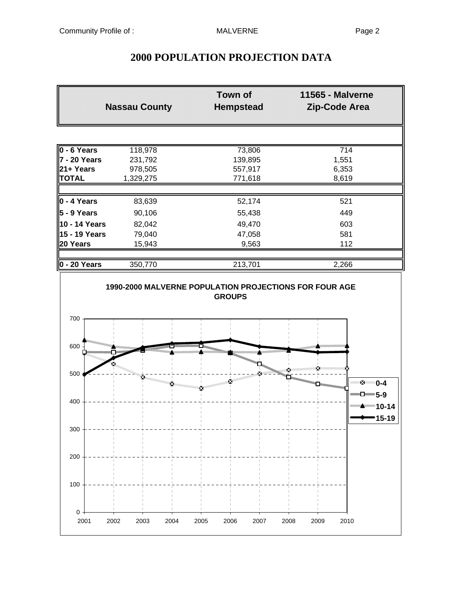# **2000 POPULATION PROJECTION DATA**

|                                  | <b>Nassau County</b> |              | <b>Hempstead</b> | <b>11565 - Malverne</b><br>Zip-Code Area |                                         |
|----------------------------------|----------------------|--------------|------------------|------------------------------------------|-----------------------------------------|
|                                  |                      |              |                  |                                          |                                         |
| $0 - 6$ Years                    | 118,978              | 73,806       |                  |                                          | $\overline{714}$                        |
| 7 - 20 Years                     | 231,792              | 139,895      |                  |                                          | 1,551                                   |
| 21+ Years                        | 978,505              | 557,917      |                  |                                          | 6,353                                   |
| <b>TOTAL</b>                     | 1,329,275            | 771,618      |                  |                                          | 8,619                                   |
| $0 - 4$ Years                    | 83,639               | 52,174       |                  |                                          | 521                                     |
| $5 - 9$ Years                    | 90,106               | 55,438       |                  |                                          | 449                                     |
| 10 - 14 Years                    | 82,042               | 49,470       |                  |                                          | 603                                     |
| 15 - 19 Years                    | 79,040               | 47,058       |                  |                                          | 581                                     |
| 20 Years                         | 15,943               | 9,563        |                  |                                          | 112                                     |
| 0 - 20 Years                     | 350,770              | 213,701      |                  |                                          | 2,266                                   |
| 700<br>600                       |                      |              |                  |                                          |                                         |
| 500                              | x.<br>X.<br>×        | aniill<br>×  | X -              |                                          | ⊠ 0-4                                   |
| 400                              |                      |              |                  |                                          | $\Box$ 5-9<br>""" <del>"</del> "" 10-14 |
| 300                              |                      |              |                  |                                          | $15 - 19$                               |
| 200                              |                      |              |                  |                                          |                                         |
| 100                              |                      |              |                  |                                          |                                         |
| $\boldsymbol{0}$<br>2001<br>2002 | 2003<br>2004         | 2005<br>2006 | 2007<br>2008     | 2009                                     | 2010                                    |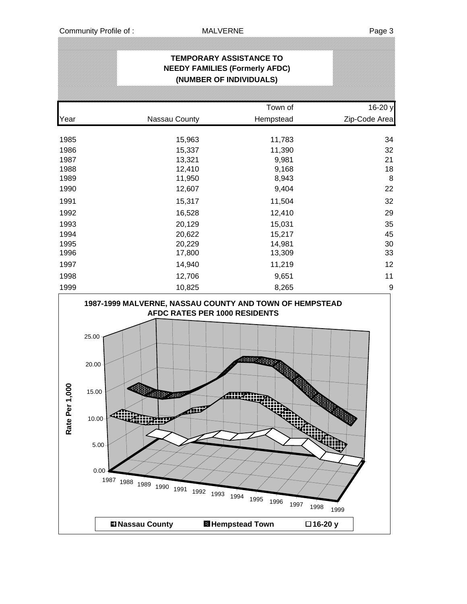|                 |                                                                                                                                                                      |                                                                       | <b>TEMPORARY ASSISTANCE TO</b><br><b>NEEDY FAMILIES (Formerly AFDC)</b><br>(NUMBER OF INDIVIDUALS) |                    |               |
|-----------------|----------------------------------------------------------------------------------------------------------------------------------------------------------------------|-----------------------------------------------------------------------|----------------------------------------------------------------------------------------------------|--------------------|---------------|
|                 |                                                                                                                                                                      |                                                                       |                                                                                                    |                    |               |
|                 |                                                                                                                                                                      |                                                                       | Town of                                                                                            |                    | 16-20 y       |
| Year            |                                                                                                                                                                      | Nassau County                                                         | Hempstead                                                                                          |                    | Zip-Code Area |
| 1985            |                                                                                                                                                                      | 15,963                                                                | 11,783                                                                                             |                    | 34            |
| 1986            |                                                                                                                                                                      | 15,337                                                                | 11,390                                                                                             |                    | 32            |
| 1987            |                                                                                                                                                                      | 13,321                                                                | 9,981                                                                                              |                    | 21            |
| 1988            |                                                                                                                                                                      | 12,410                                                                | 9,168                                                                                              |                    | 18            |
| 1989            |                                                                                                                                                                      | 11,950                                                                | 8,943                                                                                              |                    | $\, 8$        |
| 1990            |                                                                                                                                                                      | 12,607                                                                | 9,404                                                                                              |                    | 22            |
| 1991            |                                                                                                                                                                      | 15,317                                                                | 11,504                                                                                             |                    | 32            |
| 1992            |                                                                                                                                                                      | 16,528                                                                | 12,410                                                                                             |                    | 29            |
| 1993            |                                                                                                                                                                      | 20,129                                                                | 15,031                                                                                             |                    | 35            |
| 1994            |                                                                                                                                                                      | 20,622                                                                | 15,217                                                                                             |                    | 45            |
| 1995            |                                                                                                                                                                      | 20,229                                                                | 14,981                                                                                             |                    | 30            |
| 1996            |                                                                                                                                                                      | 17,800                                                                | 13,309                                                                                             |                    | 33            |
| 1997            |                                                                                                                                                                      | 14,940                                                                | 11,219                                                                                             |                    | 12            |
| 1998            |                                                                                                                                                                      | 12,706                                                                | 9,651                                                                                              |                    | 11            |
| 1999            |                                                                                                                                                                      | 10,825                                                                | 8,265                                                                                              |                    | 9             |
| g<br>Rate Per 1 | 1987-1999 MALVERNE, NASSAU COUNTY AND TOWN OF HEMPSTEAD<br>25.00<br>20.00<br>15.00<br>يرازأنه<br>10.00<br><b>GHURINU</b><br>5.00<br>0.00<br>1987 1988 1989 1990 1991 | AFDC RATES PER 1000 RESIDENTS<br><b>ANDREW MORE</b><br>r<br>1992 1993 | <b>CONSTRUCT</b><br>不出火山说个<br>1994<br>1995<br>1996<br>1997                                         | \$<br>1998<br>1999 |               |
|                 | <b>El Nassau County</b>                                                                                                                                              |                                                                       | <b>El Hempstead Town</b>                                                                           | □16-20 y           |               |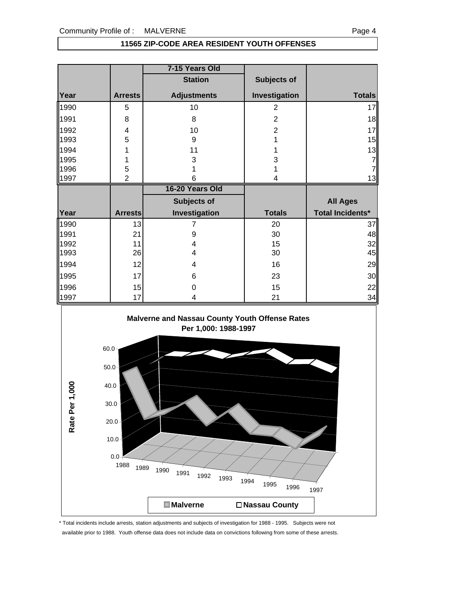### **11565 ZIP-CODE AREA RESIDENT YOUTH OFFENSES**

|      |                | 7-15 Years Old     |                |                         |
|------|----------------|--------------------|----------------|-------------------------|
|      |                | <b>Station</b>     | Subjects of    |                         |
| Year | <b>Arrests</b> | <b>Adjustments</b> | Investigation  | <b>Totals</b>           |
| 1990 | 5              | 10                 | $\overline{2}$ | 17                      |
| 1991 | 8              | 8                  | $\overline{2}$ | 18                      |
| 1992 | 4              | 10                 | $\overline{2}$ | 17                      |
| 1993 | 5              | 9                  |                | 15                      |
| 1994 |                | 11                 |                | 13                      |
| 1995 |                | 3                  | 3              |                         |
| 1996 | 5              |                    |                |                         |
| 1997 | $\overline{2}$ | 6                  |                | 13                      |
|      |                |                    |                |                         |
|      |                | 16-20 Years Old    |                |                         |
|      |                | <b>Subjects of</b> |                | <b>All Ages</b>         |
| Year | <b>Arrests</b> | Investigation      | <b>Totals</b>  | <b>Total Incidents*</b> |
| 1990 | 13             |                    | 20             | 37                      |
| 1991 | 21             | 9                  | 30             | 48                      |
| 1992 | 11             | 4                  | 15             | 32                      |
| 1993 | 26             | 4                  | 30             | 45                      |
| 1994 | 12             | 4                  | 16             | 29                      |
| 1995 | 17             | 6                  | 23             | 30                      |
| 1996 | 15             | Ω                  | 15             | 22                      |



\* Total incidents include arrests, station adjustments and subjects of investigation for 1988 - 1995. Subjects were not available prior to 1988. Youth offense data does not include data on convictions following from some of these arrests.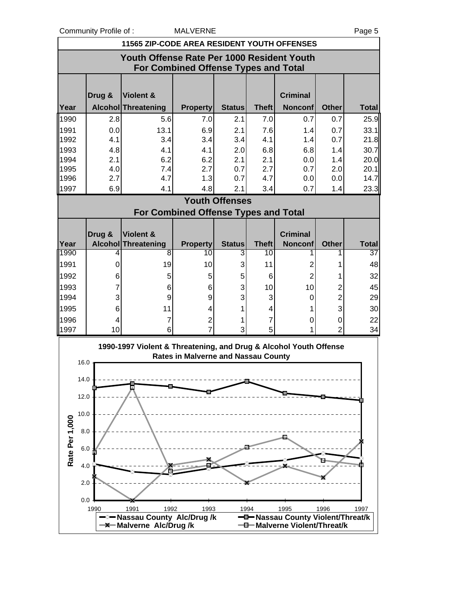Community Profile of : MALVERNE **Page 5** 

|                | <b>11565 ZIP-CODE AREA RESIDENT YOUTH OFFENSES</b>                                 |                                                                   |                                             |                       |                    |                                   |                |                    |  |  |  |
|----------------|------------------------------------------------------------------------------------|-------------------------------------------------------------------|---------------------------------------------|-----------------------|--------------------|-----------------------------------|----------------|--------------------|--|--|--|
|                | Youth Offense Rate Per 1000 Resident Youth<br>For Combined Offense Types and Total |                                                                   |                                             |                       |                    |                                   |                |                    |  |  |  |
|                | Drug &                                                                             | Violent &                                                         |                                             |                       |                    | <b>Criminal</b>                   |                |                    |  |  |  |
| Year           |                                                                                    | Alcohol Threatening                                               | <b>Property</b>                             | <b>Status</b>         | <b>Theft</b>       | <b>Nonconf</b>                    | <b>Other</b>   | <b>Total</b>       |  |  |  |
| 1990           | 2.8                                                                                | 5.6                                                               | 7.0                                         | 2.1                   | 7.0                | 0.7                               | 0.7            | 25.9               |  |  |  |
| 1991           | 0.0                                                                                | 13.1                                                              | 6.9                                         | 2.1                   | 7.6                | 1.4                               | 0.7            | 33.1               |  |  |  |
| 1992           | 4.1                                                                                | 3.4                                                               | 3.4                                         | 3.4                   | 4.1                | 1.4                               | 0.7            | 21.8               |  |  |  |
| 1993           | 4.8                                                                                | 4.1                                                               | 4.1                                         | 2.0                   | 6.8                | 6.8                               | 1.4            | 30.7               |  |  |  |
| 1994           | 2.1                                                                                | 6.2                                                               | 6.2                                         | 2.1                   | 2.1                | 0.0                               | 1.4            | 20.0               |  |  |  |
| 1995<br>1996   | 4.0<br>2.7                                                                         | 7.4<br>4.7                                                        | 2.7<br>1.3                                  | 0.7<br>0.7            | 2.7<br>4.7         | 0.7                               | 2.0<br>0.0     | 20.1<br>14.7       |  |  |  |
| 1997           | 6.9                                                                                | 4.1                                                               | 4.8                                         | 2.1                   | 3.4                | 0.0<br>0.7                        | 1.4            | 23.3               |  |  |  |
|                |                                                                                    |                                                                   |                                             | <b>Youth Offenses</b> |                    |                                   |                |                    |  |  |  |
|                |                                                                                    |                                                                   | <b>For Combined Offense Types and Total</b> |                       |                    |                                   |                |                    |  |  |  |
|                |                                                                                    |                                                                   |                                             |                       |                    |                                   |                |                    |  |  |  |
|                | Drug &                                                                             | Violent &                                                         |                                             |                       |                    | <b>Criminal</b>                   |                |                    |  |  |  |
| Year<br>11990  | 4                                                                                  | <b>Alcohol Threatening</b><br>8                                   | <b>Property</b><br>10                       | <b>Status</b><br>3    | <b>Theft</b><br>10 | <b>Nonconf</b>                    | <b>Other</b>   | <b>Total</b><br>37 |  |  |  |
| 1991           | 0                                                                                  | 19                                                                | 10                                          | 3                     | 11                 | 2                                 | 1              | 48                 |  |  |  |
| 1992           | 6                                                                                  | 5                                                                 | 5                                           | 5                     | 6                  | $\overline{2}$                    |                | 32                 |  |  |  |
| 1993           | 7                                                                                  | 6                                                                 | 6                                           | 3                     | 10                 | 10                                | 2              | 45                 |  |  |  |
| 1994           | 3                                                                                  | 9                                                                 | 9                                           | 3                     | 3                  | 0                                 | $\overline{c}$ | 29                 |  |  |  |
| 1995           | 6                                                                                  | 11                                                                | 4                                           | 1                     | 4                  |                                   | 3              | 30                 |  |  |  |
| 1996           | 4                                                                                  | 7                                                                 | $\overline{2}$                              | 1                     | 7                  | 0                                 | 0              | 22                 |  |  |  |
| 1997           | 10                                                                                 | 6                                                                 |                                             | 3                     | 5                  |                                   | $\overline{2}$ | 34                 |  |  |  |
|                |                                                                                    | 1990-1997 Violent & Threatening, and Drug & Alcohol Youth Offense |                                             |                       |                    |                                   |                |                    |  |  |  |
| 16.0           |                                                                                    |                                                                   | <b>Rates in Malverne and Nassau County</b>  |                       |                    |                                   |                |                    |  |  |  |
|                |                                                                                    |                                                                   |                                             |                       |                    |                                   |                |                    |  |  |  |
| 14.0           |                                                                                    |                                                                   |                                             |                       |                    |                                   |                |                    |  |  |  |
| 12.0           |                                                                                    |                                                                   |                                             |                       |                    |                                   |                |                    |  |  |  |
| 10.0           |                                                                                    |                                                                   |                                             |                       |                    |                                   |                |                    |  |  |  |
|                |                                                                                    |                                                                   |                                             |                       |                    |                                   |                |                    |  |  |  |
|                | 8.0                                                                                |                                                                   |                                             |                       |                    |                                   |                |                    |  |  |  |
|                | 6.0                                                                                |                                                                   |                                             |                       |                    |                                   |                |                    |  |  |  |
| Rate Per 1,000 |                                                                                    |                                                                   |                                             |                       |                    |                                   |                |                    |  |  |  |
|                | 4.0                                                                                |                                                                   |                                             |                       |                    |                                   |                |                    |  |  |  |
|                | 2.0                                                                                |                                                                   |                                             |                       |                    |                                   |                |                    |  |  |  |
|                |                                                                                    |                                                                   |                                             |                       |                    |                                   |                |                    |  |  |  |
|                | 0.0<br>1990                                                                        | 1992<br>1991                                                      | 1993                                        |                       | 1994               | 1995                              | 1996           | 1997               |  |  |  |
|                |                                                                                    | -2- Nassau County Alc/Drug /k                                     |                                             |                       |                    | -D-Nassau County Violent/Threat/k |                |                    |  |  |  |
|                |                                                                                    | <b>-X-Malverne Alc/Drug/k</b>                                     |                                             |                       |                    | -0-Malverne Violent/Threat/k      |                |                    |  |  |  |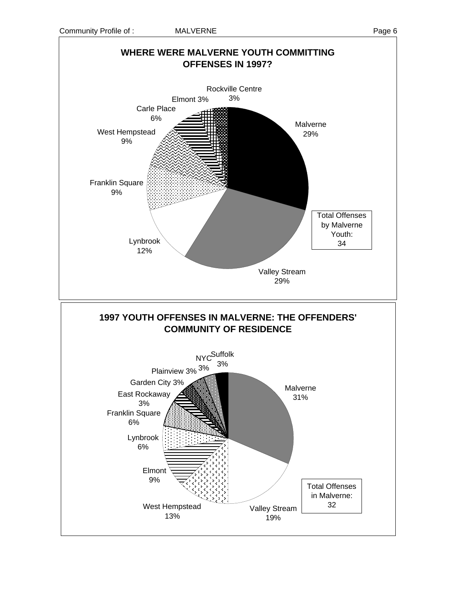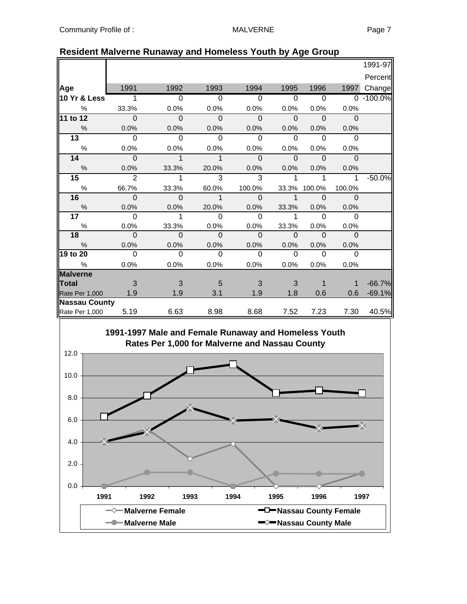|                 |                          |                |                |                |                         |                          |              | 1991-97      |
|-----------------|--------------------------|----------------|----------------|----------------|-------------------------|--------------------------|--------------|--------------|
|                 |                          |                |                |                |                         |                          |              | Percent      |
| Age             | 1991                     | 1992           | 1993           | 1994           | 1995                    | 1996                     | 1997         | Change       |
| 10 Yr & Less    | $\overline{1}$           | $\overline{0}$ | $\overline{0}$ | $\overline{0}$ | $\overline{0}$          | $\overline{\phantom{0}}$ |              | $0 - 100.0%$ |
| %               | 33.3%                    | 0.0%           | 0.0%           | 0.0%           | 0.0%                    | 0.0%                     | 0.0%         |              |
| 11 to 12        | $\overline{\phantom{0}}$ | $\mathbf 0$    | $\mathbf 0$    | $\mathbf 0$    | $\overline{\mathbf{0}}$ | $\overline{\phantom{0}}$ | $\mathbf{0}$ |              |
| $\frac{0}{0}$   | 0.0%                     | 0.0%           | 0.0%           | 0.0%           | 0.0%                    | 0.0%                     | 0.0%         |              |
| 13              | $\Omega$                 | $\Omega$       | $\Omega$       | $\Omega$       | $\Omega$                | $\Omega$                 | $\Omega$     |              |
| $\%$            | 0.0%                     | 0.0%           | 0.0%           | 0.0%           | 0.0%                    | 0.0%                     | 0.0%         |              |
| 14              | $\mathbf 0$              | $\mathbf{1}$   | $\mathbf{1}$   | $\Omega$       | $\Omega$                | $\Omega$                 | $\Omega$     |              |
| $\frac{0}{0}$   | 0.0%                     | 33.3%          | 20.0%          | 0.0%           | $0.0\%$                 | 0.0%                     | 0.0%         |              |
| 15 <sub>1</sub> | $\overline{2}$           | 1              | 3              | 3              | 1                       | 1                        | 1            | $-50.0%$     |
| $\%$            | 66.7%                    | 33.3%          | 60.0%          | 100.0%         | 33.3%                   | 100.0%                   | 100.0%       |              |
| 16              | $\Omega$                 | $\overline{0}$ | $\mathbf{1}$   | $\Omega$       | $\overline{1}$          | $\Omega$                 | $\Omega$     |              |
| $\%$            | 0.0%                     | 0.0%           | 20.0%          | 0.0%           | 33.3%                   | 0.0%                     | 0.0%         |              |
| 17 <sub>1</sub> | $\Omega$                 | 1              | $\Omega$       | $\Omega$       | $\mathbf{1}$            | $\Omega$                 | $\Omega$     |              |
| $\%$            | 0.0%                     | 33.3%          | 0.0%           | 0.0%           | 33.3%                   | 0.0%                     | 0.0%         |              |
| 18              | $\Omega$                 | $\Omega$       | $\Omega$       | $\Omega$       | $\Omega$                | $\Omega$                 | $\mathbf{0}$ |              |
| $\frac{0}{0}$   | 0.0%                     | 0.0%           | 0.0%           | 0.0%           | 0.0%                    | 0.0%                     | 0.0%         |              |
| 19 to 20        | $\Omega$                 | $\Omega$       | $\Omega$       | $\Omega$       | $\Omega$                | $\Omega$                 | $\Omega$     |              |
| $\%$            | 0.0%                     | 0.0%           | 0.0%           | 0.0%           | 0.0%                    | 0.0%                     | 0.0%         |              |
| <b>Malverne</b> |                          |                |                |                |                         |                          |              |              |
| Total           | 3                        | 3              | 5              | 3              | 3                       | 1                        | 1            | $-66.7%$     |
| Rate Per 1,000  | 1.9                      | 1.9            | 3.1            | 1.9            | 1.8                     | 0.6                      | 0.6          | $-69.1%$     |
| Nassau County   |                          |                |                |                |                         |                          |              |              |
| Rate Per 1,000  | 5.19                     | 6.63           | 8.98           | 8.68           | 7.52                    | 7.23                     | 7.30         | 40.5%        |

### **Resident Malverne Runaway and Homeless Youth by Age Group**

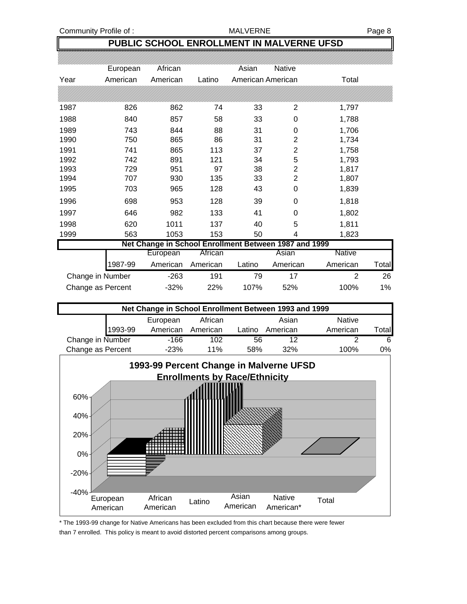### **PUBLIC SCHOOL ENROLLMENT IN MALVERNE UFSD**

|      | European          | African                                               |          | Asian             | <b>Native</b>  |                |       |
|------|-------------------|-------------------------------------------------------|----------|-------------------|----------------|----------------|-------|
| Year | American          | American                                              | Latino   | American American |                | Total          |       |
|      |                   |                                                       |          |                   |                |                |       |
| 1987 | 826               | 862                                                   | 74       | 33                | 2              | 1,797          |       |
| 1988 | 840               | 857                                                   | 58       | 33                | 0              | 1,788          |       |
| 1989 | 743               | 844                                                   | 88       | 31                | 0              | 1,706          |       |
| 1990 | 750               | 865                                                   | 86       | 31                | $\overline{2}$ | 1,734          |       |
| 1991 | 741               | 865                                                   | 113      | 37                | 2              | 1,758          |       |
| 1992 | 742               | 891                                                   | 121      | 34                | 5              | 1,793          |       |
| 1993 | 729               | 951                                                   | 97       | 38                | 2              | 1,817          |       |
| 1994 | 707               | 930                                                   | 135      | 33                | $\overline{2}$ | 1,807          |       |
| 1995 | 703               | 965                                                   | 128      | 43                | 0              | 1,839          |       |
| 1996 | 698               | 953                                                   | 128      | 39                | 0              | 1,818          |       |
| 1997 | 646               | 982                                                   | 133      | 41                | 0              | 1,802          |       |
| 1998 | 620               | 1011                                                  | 137      | 40                | 5              | 1,811          |       |
| 1999 | 563               | 1053                                                  | 153      | 50                | 4              | 1,823          |       |
|      |                   | Net Change in School Enrollment Between 1987 and 1999 |          |                   |                |                |       |
|      |                   | European                                              | African  |                   | Asian          | <b>Native</b>  |       |
|      | 1987-99           | American                                              | American | Latino            | American       | American       | Total |
|      | Change in Number  | $-263$                                                | 191      | 79                | 17             | $\overline{2}$ | 26    |
|      | Change as Percent | $-32%$                                                | 22%      | 107%              | 52%            | 100%           | 1%    |

| Net Change in School Enrollment Between 1993 and 1999 |         |          |          |        |          |               |                |  |  |
|-------------------------------------------------------|---------|----------|----------|--------|----------|---------------|----------------|--|--|
|                                                       |         | European | African  |        | Asian    | <b>Native</b> |                |  |  |
|                                                       | 1993-99 | American | American | Latino | American | American      | Total <b>l</b> |  |  |
| Change in Number                                      |         | -166     | 102      | 56     | 12       |               | 6              |  |  |
| Change as Percent                                     |         | $-23%$   | 11%      | 58%    | 32%      | 100%          | 0%             |  |  |



\* The 1993-99 change for Native Americans has been excluded from this chart because there were fewer than 7 enrolled. This policy is meant to avoid distorted percent comparisons among groups.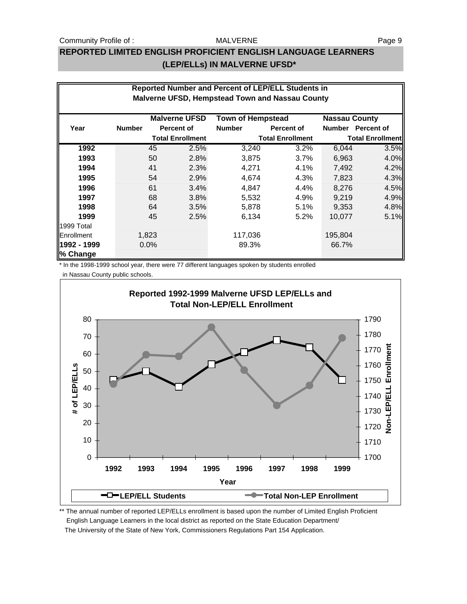#### Community Profile of : The MALVERNE MALVERNE Page 9

#### MALVERNE

## **REPORTED LIMITED ENGLISH PROFICIENT ENGLISH LANGUAGE LEARNERS (LEP/ELLs) IN MALVERNE UFSD\***

|                         | Reported Number and Percent of LEP/ELL Students in<br><b>Malverne UFSD, Hempstead Town and Nassau County</b> |                                                  |                   |                         |                      |                         |                   |  |  |
|-------------------------|--------------------------------------------------------------------------------------------------------------|--------------------------------------------------|-------------------|-------------------------|----------------------|-------------------------|-------------------|--|--|
|                         |                                                                                                              | <b>Malverne UFSD</b><br><b>Town of Hempstead</b> |                   |                         | <b>Nassau County</b> |                         |                   |  |  |
| Year                    | <b>Number</b>                                                                                                |                                                  | <b>Percent of</b> | <b>Number</b>           | <b>Percent of</b>    |                         | Number Percent of |  |  |
|                         |                                                                                                              | <b>Total Enrollment</b>                          |                   | <b>Total Enrollment</b> |                      | <b>Total Enrollment</b> |                   |  |  |
| 1992                    |                                                                                                              | 45                                               | 2.5%              | 3,240                   | 3.2%                 | 6,044                   | 3.5%              |  |  |
| 1993                    |                                                                                                              | 50                                               | 2.8%              | 3,875                   | 3.7%                 | 6,963                   | 4.0%              |  |  |
| 1994                    |                                                                                                              | 41                                               | 2.3%              | 4,271                   | 4.1%                 | 7,492                   | 4.2%              |  |  |
| 1995                    |                                                                                                              | 54                                               | 2.9%              | 4,674                   | 4.3%                 | 7,823                   | 4.3%              |  |  |
| 1996                    |                                                                                                              | 61                                               | 3.4%              | 4,847                   | 4.4%                 | 8.276                   | 4.5%              |  |  |
| 1997                    |                                                                                                              | 68                                               | 3.8%              | 5,532                   | 4.9%                 | 9.219                   | 4.9%              |  |  |
| 1998                    |                                                                                                              | 64                                               | 3.5%              | 5,878                   | 5.1%                 | 9,353                   | 4.8%              |  |  |
| 1999                    |                                                                                                              | 45                                               | 2.5%              | 6,134                   | $5.2\%$              | 10.077                  | 5.1%              |  |  |
| 1999 Total              |                                                                                                              |                                                  |                   |                         |                      |                         |                   |  |  |
| Enrollment              |                                                                                                              | 1,823                                            |                   | 117,036                 |                      | 195,804                 |                   |  |  |
| 1992 - 1999<br>% Change |                                                                                                              | $0.0\%$                                          |                   | 89.3%                   |                      | 66.7%                   |                   |  |  |

\* In the 1998-1999 school year, there were 77 different languages spoken by students enrolled

 in Nassau County public schools. **Reported 1992-1999 Malverne UFSD LEP/ELLs and Total Non-LEP/ELL Enrollment** 1790 80 1780 70 **Non-LEP/ELL Enrollment** Enrollment 1770 60 1760 # of LEP/ELLS **# of LEP/ELLs** 50 1750 40 1740 30 1730 20 1720 10 1710 0 1700 **1992 1993 1994 1995 1996 1997 1998 1999 Year <del>E</del>D LEP/ELL Students CREP Total Non-LEP Enrollment** 

\*\* The annual number of reported LEP/ELLs enrollment is based upon the number of Limited English Proficient English Language Learners in the local district as reported on the State Education Department/ The University of the State of New York, Commissioners Regulations Part 154 Application.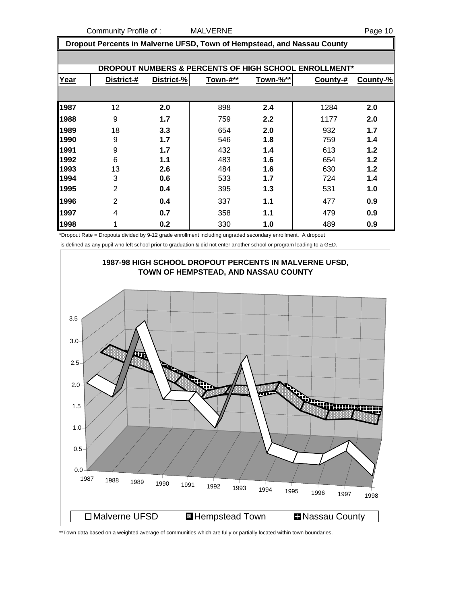Community Profile of : MALVERNE **Example 20 and 20 and 20 and 20 and 20 and 20 and 20 and 20 and 20 and 20 and 20 and 20 and 20 and 20 and 20 and 20 and 20 and 20 and 20 and 20 and 20 and 20 and 20 and 20 and 20 and 20 and** 

 **Dropout Percents in Malverne UFSD, Town of Hempstead, and Nassau County**

|      |                |            |          |          | DROPOUT NUMBERS & PERCENTS OF HIGH SCHOOL ENROLLMENT* |          |
|------|----------------|------------|----------|----------|-------------------------------------------------------|----------|
| Year | District-#     | District-% | Town-#** | Town-%** | County-#                                              | County-% |
|      |                |            |          |          |                                                       |          |
| 1987 | 12             | 2.0        | 898      | 2.4      | 1284                                                  | 2.0      |
| 1988 | 9              | 1.7        | 759      | 2.2      | 1177                                                  | 2.0      |
| 1989 | 18             | 3.3        | 654      | 2.0      | 932                                                   | 1.7      |
| 1990 | 9              | 1.7        | 546      | 1.8      | 759                                                   | 1.4      |
| 1991 | 9              | 1.7        | 432      | 1.4      | 613                                                   | 1.2      |
| 1992 | 6              | 1.1        | 483      | 1.6      | 654                                                   | 1.2      |
| 1993 | 13             | 2.6        | 484      | 1.6      | 630                                                   | 1.2      |
| 1994 | 3              | 0.6        | 533      | 1.7      | 724                                                   | 1.4      |
| 1995 | $\overline{2}$ | 0.4        | 395      | 1.3      | 531                                                   | 1.0      |
| 1996 | $\overline{2}$ | 0.4        | 337      | 1.1      | 477                                                   | 0.9      |
| 1997 | 4              | 0.7        | 358      | 1.1      | 479                                                   | 0.9      |
| 1998 | 1              | 0.2        | 330      | 1.0      | 489                                                   | 0.9      |

\*Dropout Rate = Dropouts divided by 9-12 grade enrollment including ungraded secondary enrollment. A dropout

is defined as any pupil who left school prior to graduation & did not enter another school or program leading to a GED.



\*\*Town data based on a weighted average of communities which are fully or partially located within town boundaries.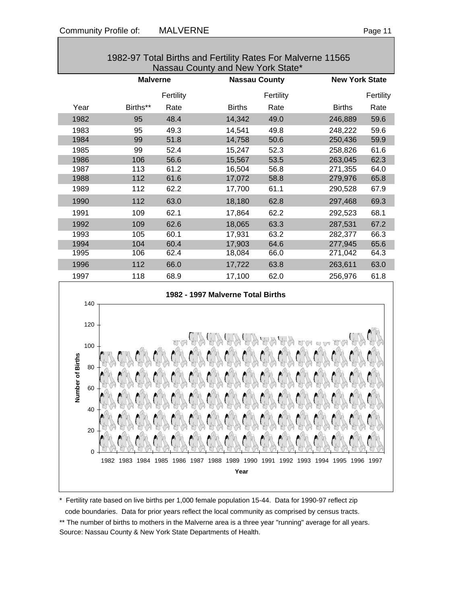| 1982-97 Total Births and Fertility Rates For Malverne 11565<br>Nassau County and New York State* |     |                 |           |                                   |           |                       |           |  |  |
|--------------------------------------------------------------------------------------------------|-----|-----------------|-----------|-----------------------------------|-----------|-----------------------|-----------|--|--|
|                                                                                                  |     | <b>Malverne</b> |           | <b>Nassau County</b>              |           | <b>New York State</b> |           |  |  |
|                                                                                                  |     |                 | Fertility |                                   | Fertility |                       | Fertility |  |  |
| Year                                                                                             |     | Births**        | Rate      | <b>Births</b>                     | Rate      | <b>Births</b>         | Rate      |  |  |
| 1982                                                                                             |     | 95              | 48.4      | 14,342                            | 49.0      | 246,889               | 59.6      |  |  |
| 1983                                                                                             |     | 95              | 49.3      | 14,541                            | 49.8      | 248,222               | 59.6      |  |  |
| 1984                                                                                             |     | 99              | 51.8      | 14,758                            | 50.6      | 250,436               | 59.9      |  |  |
| 1985                                                                                             |     | 99              | 52.4      | 15,247                            | 52.3      | 258,826               | 61.6      |  |  |
| 1986                                                                                             |     | 106             | 56.6      | 15,567                            | 53.5      | 263,045               | 62.3      |  |  |
| 1987                                                                                             |     | 113             | 61.2      | 16,504                            | 56.8      | 271,355               | 64.0      |  |  |
| 1988                                                                                             |     | 112             | 61.6      | 17,072                            | 58.8      | 279,976               | 65.8      |  |  |
| 1989                                                                                             |     | 112             | 62.2      | 17,700                            | 61.1      | 290,528               | 67.9      |  |  |
| 1990                                                                                             |     | 112             | 63.0      | 18,180                            | 62.8      | 297,468               | 69.3      |  |  |
| 1991                                                                                             |     | 109             | 62.1      | 17,864                            | 62.2      | 292,523               | 68.1      |  |  |
| 1992                                                                                             |     | 109             | 62.6      | 18,065                            | 63.3      | 287,531               | 67.2      |  |  |
| 1993                                                                                             |     | 105             | 60.1      | 17,931                            | 63.2      | 282,377               | 66.3      |  |  |
| 1994                                                                                             |     | 104             | 60.4      | 17,903                            | 64.6      | 277,945               | 65.6      |  |  |
| 1995                                                                                             |     | 106             | 62.4      | 18,084                            | 66.0      | 271,042               | 64.3      |  |  |
| 1996                                                                                             |     | 112             | 66.0      | 17,722                            | 63.8      | 263,611               | 63.0      |  |  |
| 1997                                                                                             |     | 118             | 68.9      | 17,100                            | 62.0      | 256,976               | 61.8      |  |  |
|                                                                                                  |     |                 |           | 1982 - 1997 Malverne Total Births |           |                       |           |  |  |
|                                                                                                  | 140 |                 |           |                                   |           |                       |           |  |  |
|                                                                                                  | 120 |                 |           |                                   |           |                       |           |  |  |
|                                                                                                  |     |                 |           |                                   |           |                       |           |  |  |
|                                                                                                  | 100 |                 |           |                                   |           |                       |           |  |  |
| Number of Births                                                                                 | 80  |                 |           |                                   |           |                       |           |  |  |
|                                                                                                  |     |                 |           |                                   |           |                       |           |  |  |
|                                                                                                  | 60  |                 |           |                                   |           |                       |           |  |  |
|                                                                                                  |     |                 |           |                                   |           |                       |           |  |  |
|                                                                                                  | 40  |                 |           |                                   |           |                       |           |  |  |
|                                                                                                  |     |                 |           |                                   |           |                       |           |  |  |
|                                                                                                  | 20  |                 |           |                                   |           |                       |           |  |  |
|                                                                                                  |     |                 |           |                                   |           |                       |           |  |  |
|                                                                                                  | 0   |                 |           |                                   |           |                       |           |  |  |

1982-97 Total Births and Fertility Rates For Malverne 11565

\* Fertility rate based on live births per 1,000 female population 15-44. Data for 1990-97 reflect zip code boundaries. Data for prior years reflect the local community as comprised by census tracts.

\*\* The number of births to mothers in the Malverne area is a three year "running" average for all years. Source: Nassau County & New York State Departments of Health.

1982 1983 1984 1985 1986 1987 1988 1989 1990 1991 1992 1993 1994 1995 1996 1997 **Year**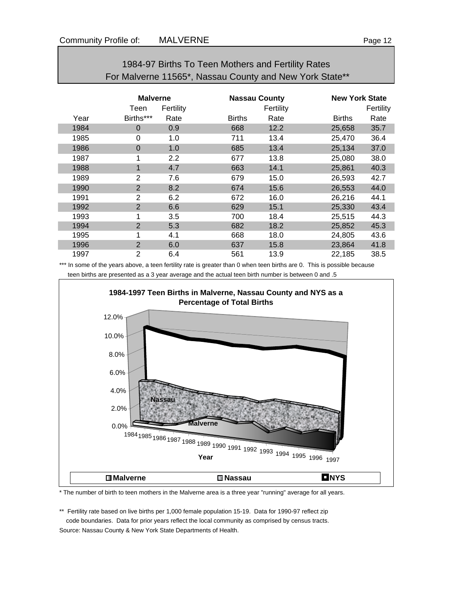|      | For Malverne 11565", Nassau County and New York State" |                  |               |                      |               |                       |  |  |  |  |
|------|--------------------------------------------------------|------------------|---------------|----------------------|---------------|-----------------------|--|--|--|--|
|      | <b>Malverne</b>                                        |                  |               | <b>Nassau County</b> |               | <b>New York State</b> |  |  |  |  |
|      | Teen                                                   | Fertility        |               | Fertility            |               | Fertility             |  |  |  |  |
| Year | Births***                                              | Rate             | <b>Births</b> | Rate                 | <b>Births</b> | Rate                  |  |  |  |  |
| 1984 | $\Omega$                                               | 0.9              | 668           | 12.2                 | 25,658        | 35.7                  |  |  |  |  |
| 1985 | 0                                                      | 1.0              | 711           | 13.4                 | 25,470        | 36.4                  |  |  |  |  |
| 1986 | $\overline{0}$                                         | 1.0              | 685           | 13.4                 | 25,134        | 37.0                  |  |  |  |  |
| 1987 | 1                                                      | $2.2\phantom{0}$ | 677           | 13.8                 | 25,080        | 38.0                  |  |  |  |  |
| 1988 | 1                                                      | 4.7              | 663           | 14.1                 | 25,861        | 40.3                  |  |  |  |  |
| 1989 | 2                                                      | 7.6              | 679           | 15.0                 | 26,593        | 42.7                  |  |  |  |  |
| 1990 | $\overline{2}$                                         | 8.2              | 674           | 15.6                 | 26,553        | 44.0                  |  |  |  |  |
| 1991 | $\overline{2}$                                         | 6.2              | 672           | 16.0                 | 26,216        | 44.1                  |  |  |  |  |
| 1992 | $\overline{2}$                                         | 6.6              | 629           | 15.1                 | 25,330        | 43.4                  |  |  |  |  |
| 1993 | 1                                                      | 3.5              | 700           | 18.4                 | 25,515        | 44.3                  |  |  |  |  |
| 1994 | $\overline{2}$                                         | 5.3              | 682           | 18.2                 | 25,852        | 45.3                  |  |  |  |  |
| 1995 | 1                                                      | 4.1              | 668           | 18.0                 | 24,805        | 43.6                  |  |  |  |  |
| 1996 | $\overline{2}$                                         | 6.0              | 637           | 15.8                 | 23,864        | 41.8                  |  |  |  |  |
| 1997 | $\overline{2}$                                         | 6.4              | 561           | 13.9                 | 22,185        | 38.5                  |  |  |  |  |

## 1984-97 Births To Teen Mothers and Fertility Rates For Malverne 11565\*, Nassau County and New York State\*\*

\*\*\* In some of the years above, a teen fertility rate is greater than 0 when teen births are 0. This is possible because teen births are presented as a 3 year average and the actual teen birth number is between 0 and .5



\* The number of birth to teen mothers in the Malverne area is a three year "running" average for all years.

\*\* Fertility rate based on live births per 1,000 female population 15-19. Data for 1990-97 reflect zip code boundaries. Data for prior years reflect the local community as comprised by census tracts. Source: Nassau County & New York State Departments of Health.